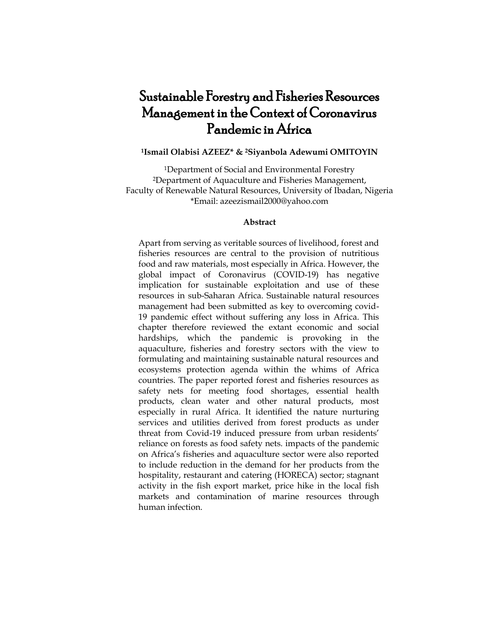# Sustainable Forestry and Fisheries Resources Management in the Context of Coronavirus Pandemic in Africa

# **<sup>1</sup>Ismail Olabisi AZEEZ\* & <sup>2</sup>Siyanbola Adewumi OMITOYIN**

<sup>1</sup>Department of Social and Environmental Forestry <sup>2</sup>Department of Aquaculture and Fisheries Management, Faculty of Renewable Natural Resources, University of Ibadan, Nigeria \*Email: azeezismail2000@yahoo.com

#### **Abstract**

Apart from serving as veritable sources of livelihood, forest and fisheries resources are central to the provision of nutritious food and raw materials, most especially in Africa. However, the global impact of Coronavirus (COVID-19) has negative implication for sustainable exploitation and use of these resources in sub-Saharan Africa. Sustainable natural resources management had been submitted as key to overcoming covid-19 pandemic effect without suffering any loss in Africa. This chapter therefore reviewed the extant economic and social hardships, which the pandemic is provoking in the aquaculture, fisheries and forestry sectors with the view to formulating and maintaining sustainable natural resources and ecosystems protection agenda within the whims of Africa countries. The paper reported forest and fisheries resources as safety nets for meeting food shortages, essential health products, clean water and other natural products, most especially in rural Africa. It identified the nature nurturing services and utilities derived from forest products as under threat from Covid-19 induced pressure from urban residents' reliance on forests as food safety nets. impacts of the pandemic on Africa's fisheries and aquaculture sector were also reported to include reduction in the demand for her products from the hospitality, restaurant and catering (HORECA) sector; stagnant activity in the fish export market, price hike in the local fish markets and contamination of marine resources through human infection.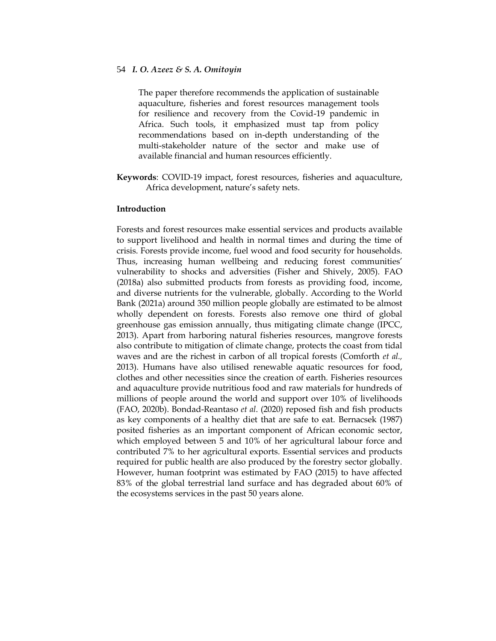The paper therefore recommends the application of sustainable aquaculture, fisheries and forest resources management tools for resilience and recovery from the Covid-19 pandemic in Africa. Such tools, it emphasized must tap from policy recommendations based on in-depth understanding of the multi-stakeholder nature of the sector and make use of available financial and human resources efficiently.

**Keywords**: COVID-19 impact, forest resources, fisheries and aquaculture, Africa development, nature's safety nets.

#### **Introduction**

Forests and forest resources make essential services and products available to support livelihood and health in normal times and during the time of crisis. Forests provide income, fuel wood and food security for households. Thus, increasing human wellbeing and reducing forest communities' vulnerability to shocks and adversities (Fisher and Shively, 2005). FAO (2018a) also submitted products from forests as providing food, income, and diverse nutrients for the vulnerable, globally. According to the World Bank (2021a) around 350 million people globally are estimated to be almost wholly dependent on forests. Forests also remove one third of global greenhouse gas emission annually, thus mitigating climate change (IPCC, 2013). Apart from harboring natural fisheries resources, mangrove forests also contribute to mitigation of climate change, protects the coast from tidal waves and are the richest in carbon of all tropical forests (Comforth *et al.,* 2013). Humans have also utilised renewable aquatic resources for food, clothes and other necessities since the creation of earth. Fisheries resources and aquaculture provide nutritious food and raw materials for hundreds of millions of people around the world and support over 10% of livelihoods (FAO, 2020b). Bondad-Reantaso *et al*. (2020) reposed fish and fish products as key components of a healthy diet that are safe to eat. Bernacsek (1987) posited fisheries as an important component of African economic sector, which employed between 5 and 10% of her agricultural labour force and contributed 7% to her agricultural exports. Essential services and products required for public health are also produced by the forestry sector globally. However, human footprint was estimated by FAO (2015) to have affected 83% of the global terrestrial land surface and has degraded about 60% of the ecosystems services in the past 50 years alone.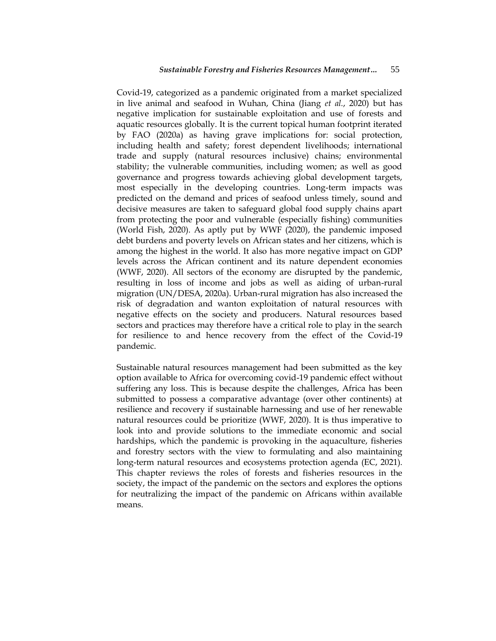Covid-19, categorized as a pandemic originated from a market specialized in live animal and seafood in Wuhan, China (Jiang *et al.*, 2020) but has negative implication for sustainable exploitation and use of forests and aquatic resources globally. It is the current topical human footprint iterated by FAO (2020a) as having grave implications for: social protection, including health and safety; forest dependent livelihoods; international trade and supply (natural resources inclusive) chains; environmental stability; the vulnerable communities, including women; as well as good governance and progress towards achieving global development targets, most especially in the developing countries. Long-term impacts was predicted on the demand and prices of seafood unless timely, sound and decisive measures are taken to safeguard global food supply chains apart from protecting the poor and vulnerable (especially fishing) communities (World Fish, 2020). As aptly put by WWF (2020), the pandemic imposed debt burdens and poverty levels on African states and her citizens, which is among the highest in the world. It also has more negative impact on GDP levels across the African continent and its nature dependent economies (WWF, 2020). All sectors of the economy are disrupted by the pandemic, resulting in loss of income and jobs as well as aiding of urban-rural migration (UN/DESA, 2020a). Urban-rural migration has also increased the risk of degradation and wanton exploitation of natural resources with negative effects on the society and producers. Natural resources based sectors and practices may therefore have a critical role to play in the search for resilience to and hence recovery from the effect of the Covid-19 pandemic.

Sustainable natural resources management had been submitted as the key option available to Africa for overcoming covid-19 pandemic effect without suffering any loss. This is because despite the challenges, Africa has been submitted to possess a comparative advantage (over other continents) at resilience and recovery if sustainable harnessing and use of her renewable natural resources could be prioritize (WWF, 2020). It is thus imperative to look into and provide solutions to the immediate economic and social hardships, which the pandemic is provoking in the aquaculture, fisheries and forestry sectors with the view to formulating and also maintaining long-term natural resources and ecosystems protection agenda (EC, 2021). This chapter reviews the roles of forests and fisheries resources in the society, the impact of the pandemic on the sectors and explores the options for neutralizing the impact of the pandemic on Africans within available means.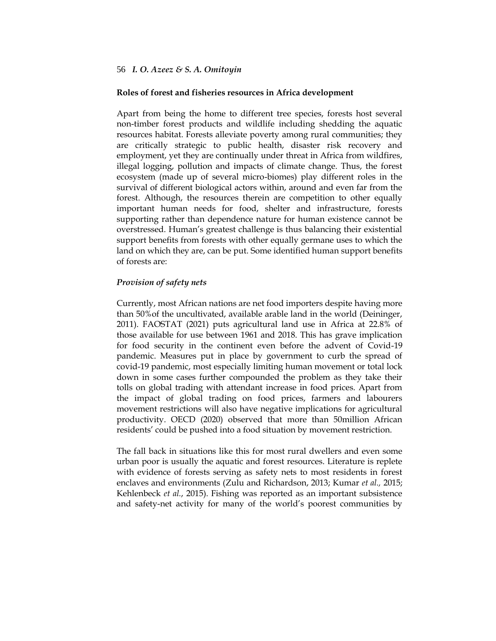#### **Roles of forest and fisheries resources in Africa development**

Apart from being the home to different tree species, forests host several non-timber forest products and wildlife including shedding the aquatic resources habitat. Forests alleviate poverty among rural communities; they are critically strategic to public health, disaster risk recovery and employment, yet they are continually under threat in Africa from wildfires, illegal logging, pollution and impacts of climate change. Thus, the forest ecosystem (made up of several micro-biomes) play different roles in the survival of different biological actors within, around and even far from the forest. Although, the resources therein are competition to other equally important human needs for food, shelter and infrastructure, forests supporting rather than dependence nature for human existence cannot be overstressed. Human's greatest challenge is thus balancing their existential support benefits from forests with other equally germane uses to which the land on which they are, can be put. Some identified human support benefits of forests are:

## *Provision of safety nets*

Currently, most African nations are net food importers despite having more than 50%of the uncultivated, available arable land in the world (Deininger, 2011). FAOSTAT (2021) puts agricultural land use in Africa at 22.8% of those available for use between 1961 and 2018. This has grave implication for food security in the continent even before the advent of Covid-19 pandemic. Measures put in place by government to curb the spread of covid-19 pandemic, most especially limiting human movement or total lock down in some cases further compounded the problem as they take their tolls on global trading with attendant increase in food prices. Apart from the impact of global trading on food prices, farmers and labourers movement restrictions will also have negative implications for agricultural productivity. OECD (2020) observed that more than 50million African residents' could be pushed into a food situation by movement restriction.

The fall back in situations like this for most rural dwellers and even some urban poor is usually the aquatic and forest resources. Literature is replete with evidence of forests serving as safety nets to most residents in forest enclaves and environments (Zulu and Richardson, 2013; Kumar *et al.,* 2015; Kehlenbeck *et al.*, 2015). Fishing was reported as an important subsistence and safety-net activity for many of the world's poorest communities by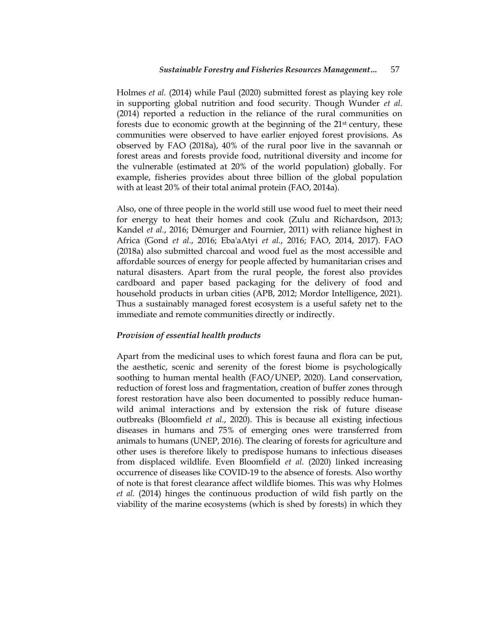Holmes *et al.* (2014) while Paul (2020) submitted forest as playing key role in supporting global nutrition and food security. Though Wunder *et al*. (2014) reported a reduction in the reliance of the rural communities on forests due to economic growth at the beginning of the 21<sup>st</sup> century, these communities were observed to have earlier enjoyed forest provisions. As observed by FAO (2018a), 40% of the rural poor live in the savannah or forest areas and forests provide food, nutritional diversity and income for the vulnerable (estimated at 20% of the world population) globally. For example, fisheries provides about three billion of the global population with at least 20% of their total animal protein (FAO, 2014a).

Also, one of three people in the world still use wood fuel to meet their need for energy to heat their homes and cook (Zulu and Richardson, 2013; Kandel *et al.*, 2016; Démurger and Fournier, 2011) with reliance highest in Africa (Gond *et al.*, 2016; Eba'aAtyi *et al.*, 2016; FAO, 2014, 2017). FAO (2018a) also submitted charcoal and wood fuel as the most accessible and affordable sources of energy for people affected by humanitarian crises and natural disasters. Apart from the rural people, the forest also provides cardboard and paper based packaging for the delivery of food and household products in urban cities (APB, 2012; Mordor Intelligence, 2021). Thus a sustainably managed forest ecosystem is a useful safety net to the immediate and remote communities directly or indirectly.

#### *Provision of essential health products*

Apart from the medicinal uses to which forest fauna and flora can be put, the aesthetic, scenic and serenity of the forest biome is psychologically soothing to human mental health (FAO/UNEP, 2020). Land conservation, reduction of forest loss and fragmentation, creation of buffer zones through forest restoration have also been documented to possibly reduce humanwild animal interactions and by extension the risk of future disease outbreaks (Bloomfield *et al.*, 2020). This is because all existing infectious diseases in humans and 75% of emerging ones were transferred from animals to humans (UNEP, 2016). The clearing of forests for agriculture and other uses is therefore likely to predispose humans to infectious diseases from displaced wildlife. Even Bloomfield *et al.* (2020) linked increasing occurrence of diseases like COVID-19 to the absence of forests. Also worthy of note is that forest clearance affect wildlife biomes. This was why Holmes *et al.* (2014) hinges the continuous production of wild fish partly on the viability of the marine ecosystems (which is shed by forests) in which they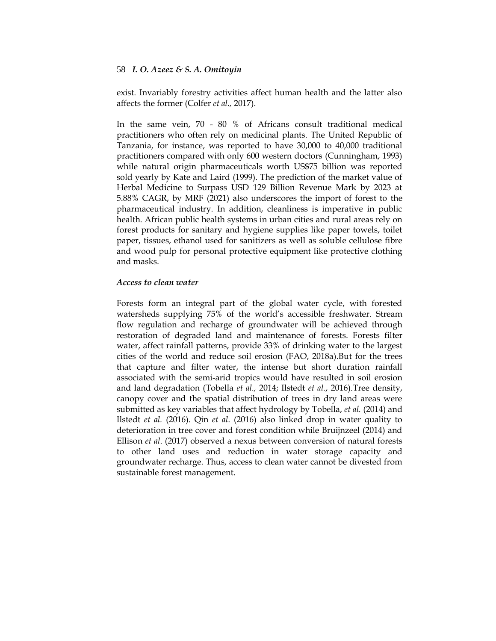exist. Invariably forestry activities affect human health and the latter also affects the former (Colfer *et al.,* 2017).

In the same vein, 70 - 80 % of Africans consult traditional medical practitioners who often rely on medicinal plants. The United Republic of Tanzania, for instance, was reported to have 30,000 to 40,000 traditional practitioners compared with only 600 western doctors (Cunningham, 1993) while natural origin pharmaceuticals worth US\$75 billion was reported sold yearly by Kate and Laird (1999). The prediction of the market value of Herbal Medicine to Surpass USD 129 Billion Revenue Mark by 2023 at 5.88% CAGR, by MRF (2021) also underscores the import of forest to the pharmaceutical industry. In addition, cleanliness is imperative in public health. African public health systems in urban cities and rural areas rely on forest products for sanitary and hygiene supplies like paper towels, toilet paper, tissues, ethanol used for sanitizers as well as soluble cellulose fibre and wood pulp for personal protective equipment like protective clothing and masks.

## *Access to clean water*

Forests form an integral part of the global water cycle, with forested watersheds supplying 75% of the world's accessible freshwater. Stream flow regulation and recharge of groundwater will be achieved through restoration of degraded land and maintenance of forests. Forests filter water, affect rainfall patterns, provide 33% of drinking water to the largest cities of the world and reduce soil erosion (FAO, 2018a).But for the trees that capture and filter water, the intense but short duration rainfall associated with the semi-arid tropics would have resulted in soil erosion and land degradation (Tobella *et al.,* 2014; Ilstedt *et al.*, 2016).Tree density, canopy cover and the spatial distribution of trees in dry land areas were submitted as key variables that affect hydrology by Tobella, *et al.* (2014) and Ilstedt *et al.* (2016). Qin *et al*. (2016) also linked drop in water quality to deterioration in tree cover and forest condition while Bruijnzeel (2014) and Ellison *et al*. (2017) observed a nexus between conversion of natural forests to other land uses and reduction in water storage capacity and groundwater recharge. Thus, access to clean water cannot be divested from sustainable forest management.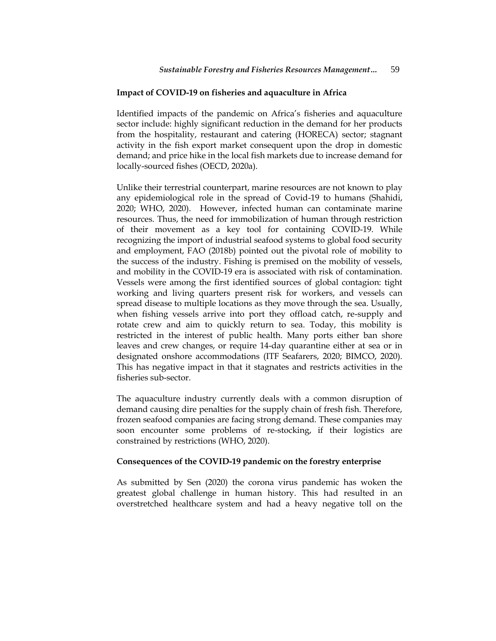#### **Impact of COVID-19 on fisheries and aquaculture in Africa**

Identified impacts of the pandemic on Africa's fisheries and aquaculture sector include: highly significant reduction in the demand for her products from the hospitality, restaurant and catering (HORECA) sector; stagnant activity in the fish export market consequent upon the drop in domestic demand; and price hike in the local fish markets due to increase demand for locally-sourced fishes (OECD, 2020a).

Unlike their terrestrial counterpart, marine resources are not known to play any epidemiological role in the spread of Covid-19 to humans (Shahidi, 2020; WHO, 2020). However, infected human can contaminate marine resources. Thus, the need for immobilization of human through restriction of their movement as a key tool for containing COVID-19. While recognizing the import of industrial seafood systems to global food security and employment, FAO (2018b) pointed out the pivotal role of mobility to the success of the industry. Fishing is premised on the mobility of vessels, and mobility in the COVID-19 era is associated with risk of contamination. Vessels were among the first identified sources of global contagion: tight working and living quarters present risk for workers, and vessels can spread disease to multiple locations as they move through the sea. Usually, when fishing vessels arrive into port they offload catch, re-supply and rotate crew and aim to quickly return to sea. Today, this mobility is restricted in the interest of public health. Many ports either ban shore leaves and crew changes, or require 14-day quarantine either at sea or in designated onshore accommodations (ITF Seafarers, 2020; BIMCO, 2020). This has negative impact in that it stagnates and restricts activities in the fisheries sub-sector.

The aquaculture industry currently deals with a common disruption of demand causing dire penalties for the supply chain of fresh fish. Therefore, frozen seafood companies are facing strong demand. These companies may soon encounter some problems of re-stocking, if their logistics are constrained by restrictions (WHO, 2020).

#### **Consequences of the COVID-19 pandemic on the forestry enterprise**

As submitted by Sen (2020) the corona virus pandemic has woken the greatest global challenge in human history. This had resulted in an overstretched healthcare system and had a heavy negative toll on the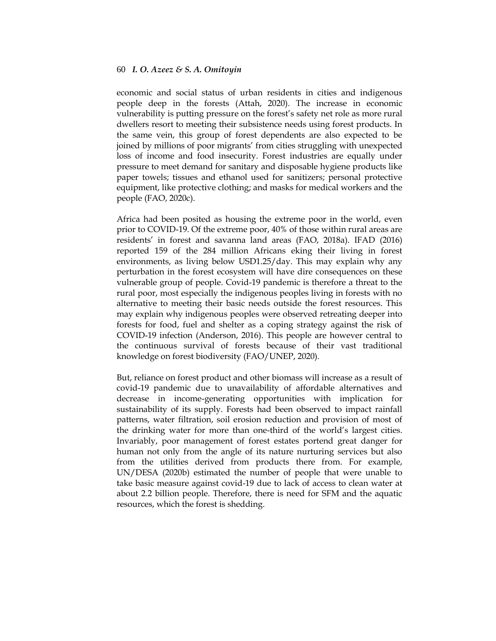economic and social status of urban residents in cities and indigenous people deep in the forests (Attah, 2020). The increase in economic vulnerability is putting pressure on the forest's safety net role as more rural dwellers resort to meeting their subsistence needs using forest products. In the same vein, this group of forest dependents are also expected to be joined by millions of poor migrants' from cities struggling with unexpected loss of income and food insecurity. Forest industries are equally under pressure to meet demand for sanitary and disposable hygiene products like paper towels; tissues and ethanol used for sanitizers; personal protective equipment, like protective clothing; and masks for medical workers and the people (FAO, 2020c).

Africa had been posited as housing the extreme poor in the world, even prior to COVID-19. Of the extreme poor, 40% of those within rural areas are residents' in forest and savanna land areas (FAO, 2018a). IFAD (2016) reported 159 of the 284 million Africans eking their living in forest environments, as living below USD1.25/day. This may explain why any perturbation in the forest ecosystem will have dire consequences on these vulnerable group of people. Covid-19 pandemic is therefore a threat to the rural poor, most especially the indigenous peoples living in forests with no alternative to meeting their basic needs outside the forest resources. This may explain why indigenous peoples were observed retreating deeper into forests for food, fuel and shelter as a coping strategy against the risk of COVID-19 infection (Anderson, 2016). This people are however central to the continuous survival of forests because of their vast traditional knowledge on forest biodiversity (FAO/UNEP, 2020).

But, reliance on forest product and other biomass will increase as a result of covid-19 pandemic due to unavailability of affordable alternatives and decrease in income-generating opportunities with implication for sustainability of its supply. Forests had been observed to impact rainfall patterns, water filtration, soil erosion reduction and provision of most of the drinking water for more than one-third of the world's largest cities. Invariably, poor management of forest estates portend great danger for human not only from the angle of its nature nurturing services but also from the utilities derived from products there from. For example, UN/DESA (2020b) estimated the number of people that were unable to take basic measure against covid-19 due to lack of access to clean water at about 2.2 billion people. Therefore, there is need for SFM and the aquatic resources, which the forest is shedding.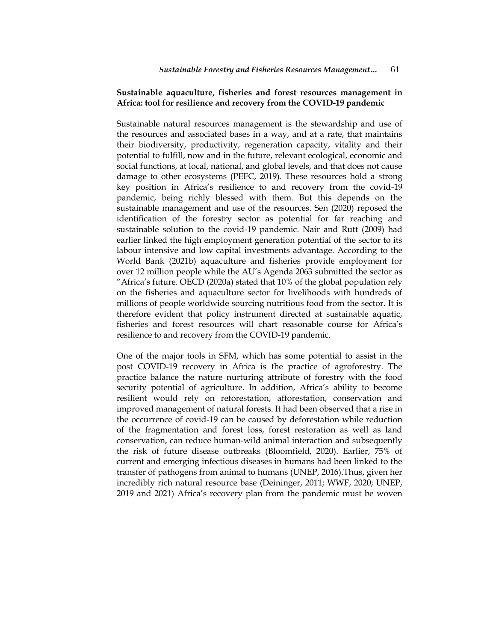## **Sustainable aquaculture, fisheries and forest resources management in Africa: tool for resilience and recovery from the COVID-19 pandemic**

Sustainable natural resources management is the stewardship and use of the resources and associated bases in a way, and at a rate, that maintains their biodiversity, productivity, regeneration capacity, vitality and their potential to fulfill, now and in the future, relevant ecological, economic and social functions, at local, national, and global levels, and that does not cause damage to other ecosystems (PEFC, 2019). These resources hold a strong key position in Africa's resilience to and recovery from the covid-19 pandemic, being richly blessed with them. But this depends on the sustainable management and use of the resources. Sen (2020) reposed the identification of the forestry sector as potential for far reaching and sustainable solution to the covid-19 pandemic. Nair and Rutt (2009) had earlier linked the high employment generation potential of the sector to its labour intensive and low capital investments advantage. According to the World Bank (2021b) aquaculture and fisheries provide employment for over 12 million people while the AU's Agenda 2063 submitted the sector as ―Africa's future. OECD (2020a) stated that 10% of the global population rely on the fisheries and aquaculture sector for livelihoods with hundreds of millions of people worldwide sourcing nutritious food from the sector. It is therefore evident that policy instrument directed at sustainable aquatic, fisheries and forest resources will chart reasonable course for Africa's resilience to and recovery from the COVID-19 pandemic.

One of the major tools in SFM, which has some potential to assist in the post COVID-19 recovery in Africa is the practice of agroforestry. The practice balance the nature nurturing attribute of forestry with the food security potential of agriculture. In addition, Africa's ability to become resilient would rely on reforestation, afforestation, conservation and improved management of natural forests. It had been observed that a rise in the occurrence of covid-19 can be caused by deforestation while reduction of the fragmentation and forest loss, forest restoration as well as land conservation, can reduce human-wild animal interaction and subsequently the risk of future disease outbreaks (Bloomfield, 2020). Earlier, 75% of current and emerging infectious diseases in humans had been linked to the transfer of pathogens from animal to humans (UNEP, 2016).Thus, given her incredibly rich natural resource base (Deininger, 2011; WWF, 2020; UNEP, 2019 and 2021) Africa's recovery plan from the pandemic must be woven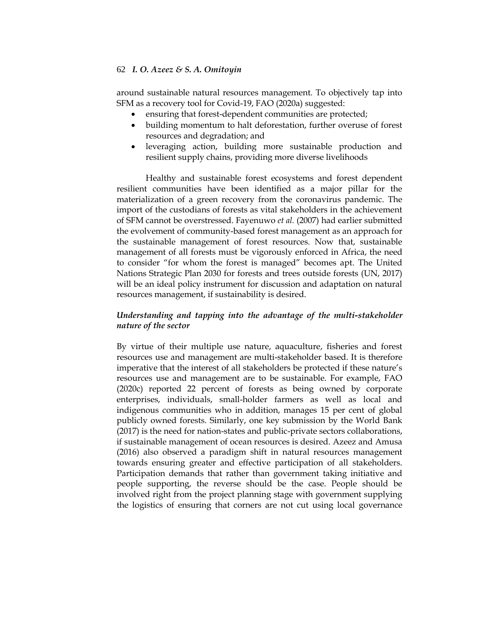around sustainable natural resources management. To objectively tap into SFM as a recovery tool for Covid-19, FAO (2020a) suggested:

- ensuring that forest-dependent communities are protected;
- building momentum to halt deforestation, further overuse of forest resources and degradation; and
- leveraging action, building more sustainable production and resilient supply chains, providing more diverse livelihoods

Healthy and sustainable forest ecosystems and forest dependent resilient communities have been identified as a major pillar for the materialization of a green recovery from the coronavirus pandemic. The import of the custodians of forests as vital stakeholders in the achievement of SFM cannot be overstressed. Fayenuwo *et al.* (2007) had earlier submitted the evolvement of community-based forest management as an approach for the sustainable management of forest resources. Now that, sustainable management of all forests must be vigorously enforced in Africa, the need to consider "for whom the forest is managed" becomes apt. The United Nations Strategic Plan 2030 for forests and trees outside forests (UN, 2017) will be an ideal policy instrument for discussion and adaptation on natural resources management, if sustainability is desired.

# *Understanding and tapping into the advantage of the multi-stakeholder nature of the sector*

By virtue of their multiple use nature, aquaculture, fisheries and forest resources use and management are multi-stakeholder based. It is therefore imperative that the interest of all stakeholders be protected if these nature's resources use and management are to be sustainable. For example, FAO (2020c) reported 22 percent of forests as being owned by corporate enterprises, individuals, small-holder farmers as well as local and indigenous communities who in addition, manages 15 per cent of global publicly owned forests. Similarly, one key submission by the World Bank (2017) is the need for nation-states and public-private sectors collaborations, if sustainable management of ocean resources is desired. Azeez and Amusa (2016) also observed a paradigm shift in natural resources management towards ensuring greater and effective participation of all stakeholders. Participation demands that rather than government taking initiative and people supporting, the reverse should be the case. People should be involved right from the project planning stage with government supplying the logistics of ensuring that corners are not cut using local governance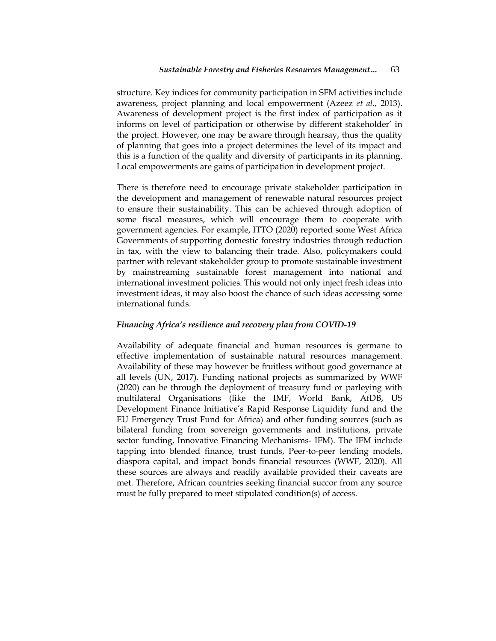structure. Key indices for community participation in SFM activities include awareness, project planning and local empowerment (Azeez *et al.,* 2013). Awareness of development project is the first index of participation as it informs on level of participation or otherwise by different stakeholder' in the project. However, one may be aware through hearsay, thus the quality of planning that goes into a project determines the level of its impact and this is a function of the quality and diversity of participants in its planning. Local empowerments are gains of participation in development project.

There is therefore need to encourage private stakeholder participation in the development and management of renewable natural resources project to ensure their sustainability. This can be achieved through adoption of some fiscal measures, which will encourage them to cooperate with government agencies. For example, ITTO (2020) reported some West Africa Governments of supporting domestic forestry industries through reduction in tax, with the view to balancing their trade. Also, policymakers could partner with relevant stakeholder group to promote sustainable investment by mainstreaming sustainable forest management into national and international investment policies. This would not only inject fresh ideas into investment ideas, it may also boost the chance of such ideas accessing some international funds.

## *Financing Africa's resilience and recovery plan from COVID-19*

Availability of adequate financial and human resources is germane to effective implementation of sustainable natural resources management. Availability of these may however be fruitless without good governance at all levels (UN, 2017). Funding national projects as summarized by WWF (2020) can be through the deployment of treasury fund or parleying with multilateral Organisations (like the IMF, World Bank, AfDB, US Development Finance Initiative's Rapid Response Liquidity fund and the EU Emergency Trust Fund for Africa) and other funding sources (such as bilateral funding from sovereign governments and institutions, private sector funding, Innovative Financing Mechanisms- IFM). The IFM include tapping into blended finance, trust funds, Peer-to-peer lending models, diaspora capital, and impact bonds financial resources (WWF, 2020). All these sources are always and readily available provided their caveats are met. Therefore, African countries seeking financial succor from any source must be fully prepared to meet stipulated condition(s) of access.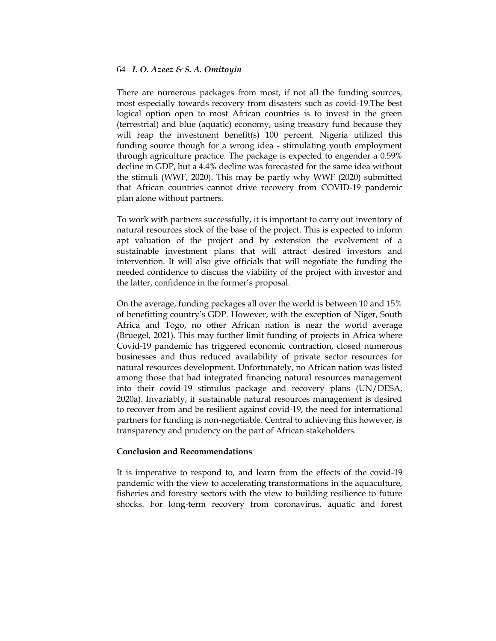There are numerous packages from most, if not all the funding sources, most especially towards recovery from disasters such as covid-19.The best logical option open to most African countries is to invest in the green (terrestrial) and blue (aquatic) economy, using treasury fund because they will reap the investment benefit(s) 100 percent. Nigeria utilized this funding source though for a wrong idea - stimulating youth employment through agriculture practice. The package is expected to engender a 0.59% decline in GDP, but a 4.4% decline was forecasted for the same idea without the stimuli (WWF, 2020). This may be partly why WWF (2020) submitted that African countries cannot drive recovery from COVID-19 pandemic plan alone without partners.

To work with partners successfully, it is important to carry out inventory of natural resources stock of the base of the project. This is expected to inform apt valuation of the project and by extension the evolvement of a sustainable investment plans that will attract desired investors and intervention. It will also give officials that will negotiate the funding the needed confidence to discuss the viability of the project with investor and the latter, confidence in the former's proposal.

On the average, funding packages all over the world is between 10 and 15% of benefitting country's GDP. However, with the exception of Niger, South Africa and Togo, no other African nation is near the world average (Bruegel, 2021). This may further limit funding of projects in Africa where Covid-19 pandemic has triggered economic contraction, closed numerous businesses and thus reduced availability of private sector resources for natural resources development. Unfortunately, no African nation was listed among those that had integrated financing natural resources management into their covid-19 stimulus package and recovery plans (UN/DESA, 2020a). Invariably, if sustainable natural resources management is desired to recover from and be resilient against covid-19, the need for international partners for funding is non-negotiable. Central to achieving this however, is transparency and prudency on the part of African stakeholders.

## **Conclusion and Recommendations**

It is imperative to respond to, and learn from the effects of the covid-19 pandemic with the view to accelerating transformations in the aquaculture, fisheries and forestry sectors with the view to building resilience to future shocks. For long-term recovery from coronavirus, aquatic and forest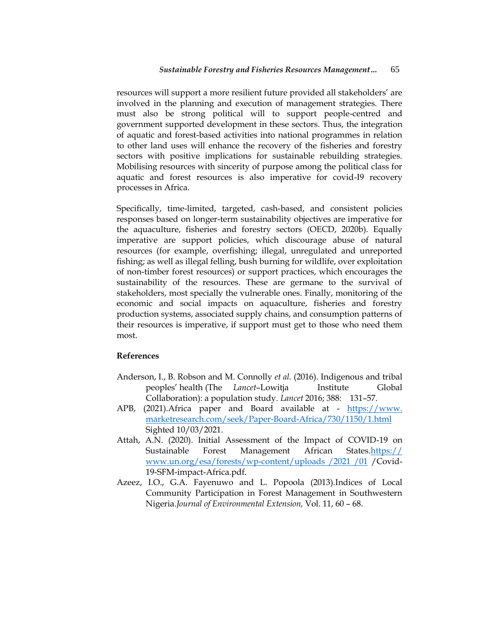resources will support a more resilient future provided all stakeholders' are involved in the planning and execution of management strategies. There must also be strong political will to support people-centred and government supported development in these sectors. Thus, the integration of aquatic and forest-based activities into national programmes in relation to other land uses will enhance the recovery of the fisheries and forestry sectors with positive implications for sustainable rebuilding strategies. Mobilising resources with sincerity of purpose among the political class for aquatic and forest resources is also imperative for covid-I9 recovery processes in Africa.

Specifically, time-limited, targeted, cash-based, and consistent policies responses based on longer-term sustainability objectives are imperative for the aquaculture, fisheries and forestry sectors (OECD, 2020b). Equally imperative are support policies, which discourage abuse of natural resources (for example, overfishing; illegal, unregulated and unreported fishing; as well as illegal felling, bush burning for wildlife, over exploitation of non-timber forest resources) or support practices, which encourages the sustainability of the resources. These are germane to the survival of stakeholders, most specially the vulnerable ones. Finally, monitoring of the economic and social impacts on aquaculture, fisheries and forestry production systems, associated supply chains, and consumption patterns of their resources is imperative, if support must get to those who need them most.

# **References**

- Anderson, I., B. Robson and M. Connolly *et al.* (2016). Indigenous and tribal peoples' health (The *Lancet*–Lowitja Institute Global Collaboration): a population study. *Lancet* 2016; 388: 131–57.
- APB, (2021). Africa paper and Board available at https://www. marketresearch.com/seek/Paper-Board-Africa/730/1150/1.html Sighted 10/03/2021.
- Attah, A.N. (2020). Initial Assessment of the Impact of COVID-19 on Sustainable Forest Management African States.https:// www.un.org/esa/forests/wp-content/uploads /2021 /01 /Covid-19-SFM-impact-Africa.pdf.
- Azeez, I.O., G.A. Fayenuwo and L. Popoola (2013).Indices of Local Community Participation in Forest Management in Southwestern Nigeria.*Journal of Environmental Extension,* Vol. 11, 60 – 68.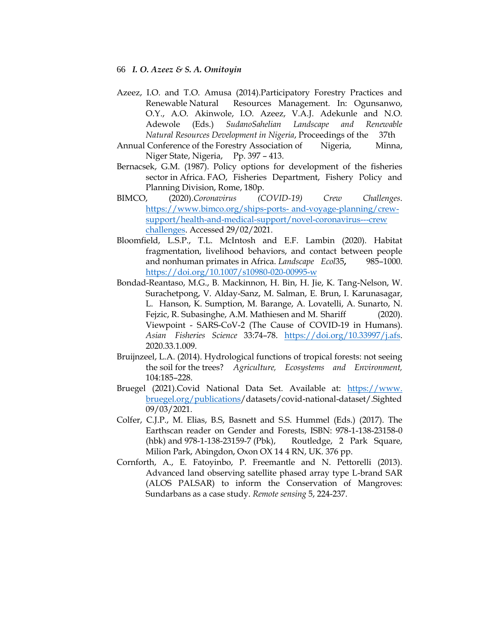- Azeez, I.O. and T.O. Amusa (2014).Participatory Forestry Practices and Renewable Natural Resources Management. In: Ogunsanwo, O.Y., A.O. Akinwole, I.O. Azeez, V.A.J. Adekunle and N.O. Adewole (Eds.) *SudanoSahelian Landscape and Renewable Natural Resources Development in Nigeria*, Proceedings of the 37th
- Annual Conference of the Forestry Association of Nigeria, Minna, Niger State, Nigeria, Pp. 397 – 413.
- Bernacsek, G.M. (1987). Policy options for development of the fisheries sector in Africa. FAO, Fisheries Department, Fishery Policy and Planning Division, Rome, 180p.
- BIMCO, (2020).*Coronavirus (COVID-19) Crew Challenges*. [https://www.bimco.org/ships-ports-](https://www.bimco.org/ships-ports-%09and-voyage-planning/crew-%09support/health-and-medical-support/novel-coronavirus---crew%20%09challenges) and-voyage-planning/crew[support/health-and-medical-support/novel-coronavirus---crew](https://www.bimco.org/ships-ports-%09and-voyage-planning/crew-%09support/health-and-medical-support/novel-coronavirus---crew%20%09challenges)  [challenges.](https://www.bimco.org/ships-ports-%09and-voyage-planning/crew-%09support/health-and-medical-support/novel-coronavirus---crew%20%09challenges) Accessed 29/02/2021.
- Bloomfield, L.S.P., T.L. McIntosh and E.F. Lambin (2020). Habitat fragmentation, livelihood behaviors, and contact between people and nonhuman primates in Africa. *Landscape Ecol*35**,** 985–1000. <https://doi.org/10.1007/s10980-020-00995-w>
- Bondad-Reantaso, M.G., B. Mackinnon, H. Bin, H. Jie, K. Tang-Nelson, W. Surachetpong, V. Alday-Sanz, M. Salman, E. Brun, I. Karunasagar, L. Hanson, K. Sumption, M. Barange, A. Lovatelli, A. Sunarto, N. Fejzic, R. Subasinghe, A.M. Mathiesen and M. Shariff (2020). Viewpoint - SARS-CoV-2 (The Cause of COVID-19 in Humans). *Asian Fisheries Science* 33:74–78. [https://doi.org/10.33997/j.afs.](https://doi.org/10.33997/j.afs) 2020.33.1.009.
- Bruijnzeel, L.A. (2014). Hydrological functions of tropical forests: not seeing the soil for the trees? *Agriculture, Ecosystems and Environment,*  104:185–228.
- Bruegel (2021).Covid National Data Set. Available at: https://www. bruegel.org/publications/datasets/covid-national-dataset/.Sighted 09/03/2021.
- Colfer, C.J.P., M. Elias, B.S, Basnett and S.S. Hummel (Eds.) (2017). The Earthscan reader on Gender and Forests, ISBN: 978-1-138-23158-0 (hbk) and 978-1-138-23159-7 (Pbk), Routledge, 2 Park Square, Milion Park, Abingdon, Oxon OX 14 4 RN, UK. 376 pp.
- Cornforth, A., E. Fatoyinbo, P. Freemantle and N. Pettorelli (2013). Advanced land observing satellite phased array type L-brand SAR (ALOS PALSAR) to inform the Conservation of Mangroves: Sundarbans as a case study. *Remote sensing* 5, 224-237.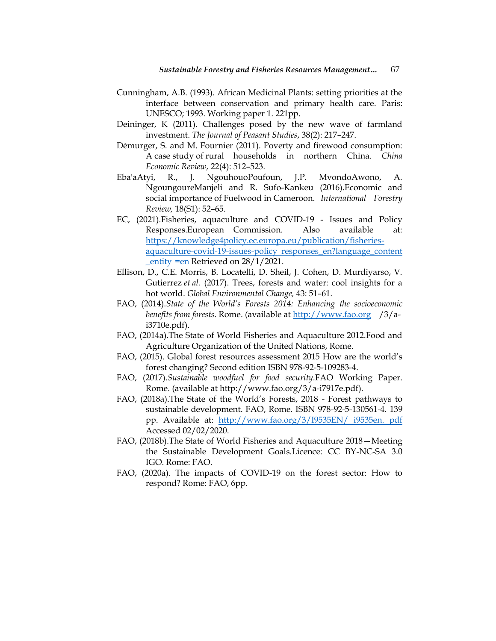- Cunningham, A.B. (1993). African Medicinal Plants: setting priorities at the interface between conservation and primary health care. Paris: UNESCO; 1993. Working paper 1. 221pp.
- Deininger, K (2011). Challenges posed by the new wave of farmland investment. *The Journal of Peasant Studies*, 38(2): 217–247.
- Démurger, S. and M. Fournier (2011). Poverty and firewood consumption: A case study of rural households in northern China. *China Economic Review,* 22(4): 512–523.
- Eba'aAtyi, R., J. NgouhouoPoufoun, J.P. MvondoAwono, A. NgoungoureManjeli and R. Sufo-Kankeu (2016).Economic and social importance of Fuelwood in Cameroon. *International Forestry Review,* 18(S1): 52–65.
- EC, (2021).Fisheries, aquaculture and COVID-19 Issues and Policy Responses.European Commission. Also available at: [https://knowledge4policy.ec.europa.eu/publication/fisheries](https://knowledge4policy.ec.europa.eu/publication/fisheries-%20%09aquaculture-covid-19-issues-policy%20responses_en?language_content%20%09_entity%20%09=en)[aquaculture-covid-19-issues-policy responses\\_en?language\\_content](https://knowledge4policy.ec.europa.eu/publication/fisheries-%20%09aquaculture-covid-19-issues-policy%20responses_en?language_content%20%09_entity%20%09=en) [\\_entity =en](https://knowledge4policy.ec.europa.eu/publication/fisheries-%20%09aquaculture-covid-19-issues-policy%20responses_en?language_content%20%09_entity%20%09=en) Retrieved on 28/1/2021.
- Ellison, D., C.E. Morris, B. Locatelli, D. Sheil, J. Cohen, D. Murdiyarso, V. Gutierrez *et al.* (2017). Trees, forests and water: cool insights for a hot world. *Global Environmental Change,* 43: 51–61.
- FAO, (2014).*State of the World's Forests 2014: Enhancing the socioeconomic benefits from forests.* Rome. (available at [http://www.fao.org](http://www.fao.org/) /3/ai3710e.pdf).
- FAO, (2014a).The State of World Fisheries and Aquaculture 2012.Food and Agriculture Organization of the United Nations, Rome.
- FAO, (2015). Global forest resources assessment 2015 How are the world's forest changing? Second edition ISBN 978-92-5-109283-4.
- FAO, (2017).*Sustainable woodfuel for food security*.FAO Working Paper. Rome. (available at http://www.fao.org/3/a-i7917e.pdf).
- FAO, (2018a).The State of the World's Forests, 2018 Forest pathways to sustainable development. FAO, Rome. ISBN 978-92-5-130561-4. 139 pp. Available at: [http://www.fao.org/3/I9535EN/ i9535en. pdf](http://www.fao.org/3/I9535EN/%20i9535en.%20pdf) Accessed 02/02/2020.
- FAO, (2018b).The State of World Fisheries and Aquaculture 2018—Meeting the Sustainable Development Goals.Licence: CC BY-NC-SA 3.0 IGO. Rome: FAO.
- FAO, (2020a). The impacts of COVID-19 on the forest sector: How to respond? Rome: FAO, 6pp.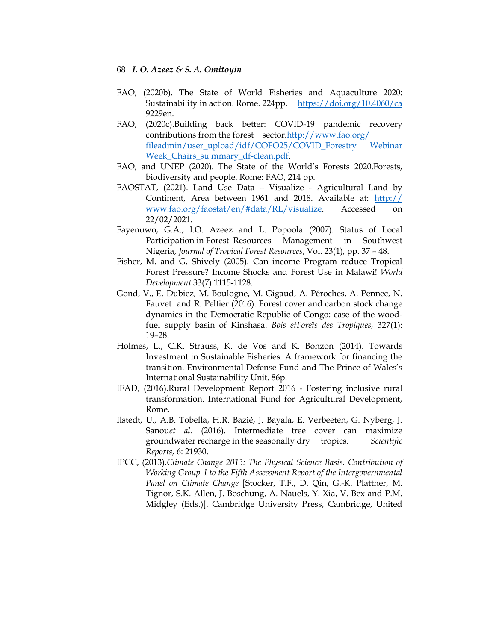- FAO, (2020b). The State of World Fisheries and Aquaculture 2020: Sustainability in action. Rome. 224pp. <https://doi.org/10.4060/ca> 9229en.
- FAO, (2020c).Building back better: COVID-19 pandemic recovery contributions from the forest sector[.http://www.fao.org/](http://www.fao.org/%20%09fileadmin/user_upload/idf/COFO25/COVID_Forestry%20Webinar%20%09Week_Chairs_su%20mmary_df-clean.pdf)  [fileadmin/user\\_upload/idf/COFO25/COVID\\_Forestry Webinar](http://www.fao.org/%20%09fileadmin/user_upload/idf/COFO25/COVID_Forestry%20Webinar%20%09Week_Chairs_su%20mmary_df-clean.pdf)  [Week\\_Chairs\\_su mmary\\_df-clean.pdf.](http://www.fao.org/%20%09fileadmin/user_upload/idf/COFO25/COVID_Forestry%20Webinar%20%09Week_Chairs_su%20mmary_df-clean.pdf)
- FAO, and UNEP (2020). The State of the World's Forests 2020.Forests, biodiversity and people. Rome: FAO, 214 pp.
- FAOSTAT, (2021). Land Use Data Visualize Agricultural Land by Continent, Area between 1961 and 2018. Available at: http:// www.fao.org/faostat/en/#data/RL/visualize. Accessed on 22/02/2021.
- Fayenuwo, G.A., I.O. Azeez and L. Popoola (2007). Status of Local Participation in Forest Resources Management in Southwest Nigeria, *Journal of Tropical Forest Resources*, Vol. 23(1), pp. 37 – 48.
- Fisher, M. and G. Shively (2005). Can income Program reduce Tropical Forest Pressure? Income Shocks and Forest Use in Malawi! *World Development* 33(7):1115-1128.
- Gond, V., E. Dubiez, M. Boulogne, M. Gigaud, A. Péroches, A. Pennec, N. Fauvet and R. Peltier (2016). Forest cover and carbon stock change dynamics in the Democratic Republic of Congo: case of the woodfuel supply basin of Kinshasa. Bois etForets des Tropiques, 327(1): 19–28.
- Holmes, L., C.K. Strauss, K. de Vos and K. Bonzon (2014). Towards Investment in Sustainable Fisheries: A framework for financing the transition. Environmental Defense Fund and The Prince of Wales's International Sustainability Unit. 86p.
- IFAD, (2016).Rural Development Report 2016 Fostering inclusive rural transformation. International Fund for Agricultural Development, Rome.
- Ilstedt, U., A.B. Tobella, H.R. Bazié, J. Bayala, E. Verbeeten, G. Nyberg, J. Sanouet al. (2016). Intermediate tree cover can maximize groundwater recharge in the seasonally dry tropics. *Scientific Reports,* 6: 21930.
- IPCC, (2013).*Climate Change 2013: The Physical Science Basis. Contribution of Working Group I to the Fifth Assessment Report of the Intergovernmental Panel on Climate Change* [Stocker, T.F., D. Qin, G.-K. Plattner, M. Tignor, S.K. Allen, J. Boschung, A. Nauels, Y. Xia, V. Bex and P.M. Midgley (Eds.)]. Cambridge University Press, Cambridge, United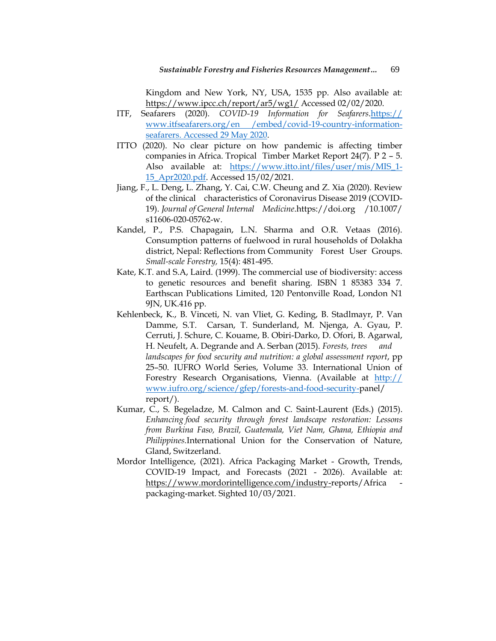Kingdom and New York, NY, USA, 1535 pp. Also available at: <https://www.ipcc.ch/report/ar5/wg1/> Accessed 02/02/2020.

- ITF, Seafarers (2020). *COVID-19 Information for Seafarers*.https:// www.itfseafarers.org/en /embed/covid-19-country-informationseafarers. Accessed 29 May 2020.
- ITTO (2020). No clear picture on how pandemic is affecting timber companies in Africa. Tropical Timber Market Report 24(7). P 2 – 5. Also available at: [https://www.itto.int/files/user/mis/MIS\\_1-](https://www.itto.int/files/user/mis/MIS_1-%0915_Apr2020.pdf) [15\\_Apr2020.pdf.](https://www.itto.int/files/user/mis/MIS_1-%0915_Apr2020.pdf) Accessed 15/02/2021.
- Jiang, F., L. Deng, L. Zhang, Y. Cai, C.W. Cheung and Z. Xia (2020). Review of the clinical characteristics of Coronavirus Disease 2019 (COVID-19). *Journal of General Internal Medicine*.https://doi.org /10.1007/ s11606-020-05762-w.
- Kandel, P., P.S. Chapagain, L.N. Sharma and O.R. Vetaas (2016). Consumption patterns of fuelwood in rural households of Dolakha district, Nepal: Reflections from Community Forest User Groups. *Small-scale Forestry,* 15(4): 481-495.
- Kate, K.T. and S.A, Laird. (1999). The commercial use of biodiversity: access to genetic resources and benefit sharing. ISBN 1 85383 334 7. Earthscan Publications Limited, 120 Pentonville Road, London N1 9JN, UK.416 pp.
- Kehlenbeck, K., B. Vinceti, N. van Vliet, G. Keding, B. Stadlmayr, P. Van Damme, S.T. Carsan, T. Sunderland, M. Njenga, A. Gyau, P. Cerruti, J. Schure, C. Kouame, B. Obiri-Darko, D. Ofori, B. Agarwal, H. Neufelt, A. Degrande and A. Serban (2015). *Forests, trees and landscapes for food security and nutrition: a global assessment report*, pp 25–50. IUFRO World Series, Volume 33. International Union of Forestry Research Organisations, Vienna. (Available at http:// www.iufro.org/science/gfep/forests-and-food-security-panel/ report/).
- Kumar, C., S. Begeladze, M. Calmon and C. Saint-Laurent (Eds.) (2015). *Enhancing food security through forest landscape restoration: Lessons from Burkina Faso, Brazil, Guatemala, Viet Nam, Ghana, Ethiopia and Philippines.*International Union for the Conservation of Nature, Gland, Switzerland.
- Mordor Intelligence, (2021). Africa Packaging Market Growth, Trends, COVID-19 Impact, and Forecasts (2021 - 2026). Available at: [https://www.mordorintelligence.com/industry-r](https://www.mordorintelligence.com/industry-)eports/Africa packaging-market. Sighted 10/03/2021.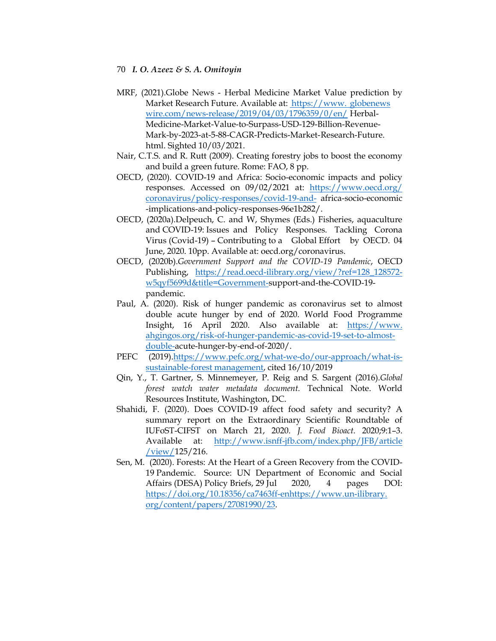- MRF, (2021).Globe News Herbal Medicine Market Value prediction by Market Research Future. Available at: https://www. globenews wire.com/news-release/2019/04/03/1796359/0/en/ Herbal-Medicine-Market-Value-to-Surpass-USD-129-Billion-Revenue-Mark-by-2023-at-5-88-CAGR-Predicts-Market-Research-Future. html. Sighted 10/03/2021.
- Nair, C.T.S. and R. Rutt (2009). Creating forestry jobs to boost the economy and build a green future. Rome: FAO, 8 pp.
- OECD, (2020). COVID-19 and Africa: Socio-economic impacts and policy responses. Accessed on 09/02/2021 at: [https://www.oecd.org/](https://www.oecd.org/%20%09coronavirus/policy-responses/covid-19-and-)  [coronavirus/policy-responses/covid-19-and-](https://www.oecd.org/%20%09coronavirus/policy-responses/covid-19-and-) africa-socio-economic -implications-and-policy-responses-96e1b282/.
- OECD, (2020a).Delpeuch, C. and W, Shymes (Eds.) Fisheries, aquaculture and COVID-19: Issues and Policy Responses. Tackling Corona Virus (Covid-19) – Contributing to a Global Effort by OECD. 04 June, 2020. 10pp. Available at: oecd.org/coronavirus.
- OECD, (2020b).*Government Support and the COVID-19 Pandemic*, OECD Publishing, [https://read.oecd-ilibrary.org/view/?ref=128\\_128572](https://read.oecd-ilibrary.org/view/?ref=128_128572-%09w5qyf5699d&title=Government-) [w5qyf5699d&title=Government-s](https://read.oecd-ilibrary.org/view/?ref=128_128572-%09w5qyf5699d&title=Government-)upport-and-the-COVID-19 pandemic.
- Paul, A. (2020). Risk of hunger pandemic as coronavirus set to almost double acute hunger by end of 2020. World Food Programme Insight, 16 April 2020. Also available at: https://www. ahgingos.org/risk-of-hunger-pandemic-as-covid-19-set-to-almostdouble-acute-hunger-by-end-of-2020/.
- PEFC (2019)[.https://www.pefc.org/what-we-do/our-approach/what-is](https://www.pefc.org/what-we-do/our-approach/what-is-%09sustainable-forest%20management)[sustainable-forest management,](https://www.pefc.org/what-we-do/our-approach/what-is-%09sustainable-forest%20management) cited 16/10/2019
- Qin, Y., T. Gartner, S. Minnemeyer, P. Reig and S. Sargent (2016).*Global forest watch water metadata document.* Technical Note. World Resources Institute, Washington, DC.
- Shahidi, F. (2020). Does COVID-19 affect food safety and security? A summary report on the Extraordinary Scientific Roundtable of IUFoST-CIFST on March 21, 2020. *J. Food Bioact.* 2020;9:1–3. Available at: [http://www.isnff-jfb.com/index.php/JFB/article](http://www.isnff-jfb.com/index.php/JFB/article%20%09/view/)  [/view/1](http://www.isnff-jfb.com/index.php/JFB/article%20%09/view/)25/216.
- Sen, M. (2020). Forests: At the Heart of a Green Recovery from the COVID-19 Pandemic. Source: UN Department of Economic and Social Affairs (DESA) Policy Briefs, 29 Jul 2020, 4 pages DOI: [https://doi.org/10.18356/ca7463ff-enhttps://www.un-ilibrary.](https://doi.org/10.18356/ca7463ff-en)  org/content/papers/27081990/23.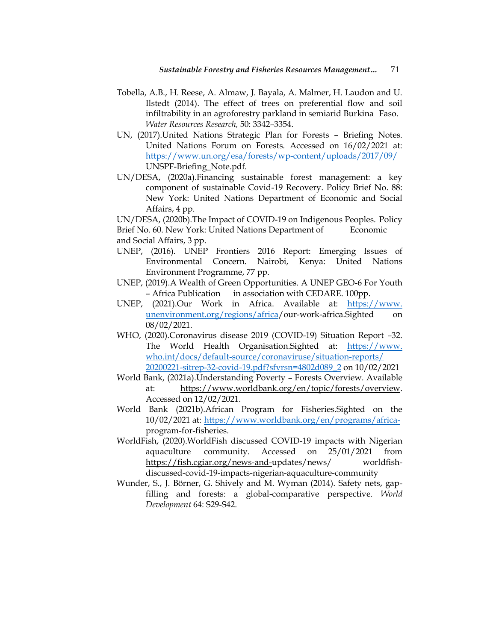- Tobella, A.B., H. Reese, A. Almaw, J. Bayala, A. Malmer, H. Laudon and U. Ilstedt (2014). The effect of trees on preferential flow and soil infiltrability in an agroforestry parkland in semiarid Burkina Faso. *Water Resources Research,* 50: 3342–3354.
- UN, (2017).United Nations Strategic Plan for Forests Briefing Notes. United Nations Forum on Forests. Accessed on 16/02/2021 at: <https://www.un.org/esa/forests/wp-content/uploads/2017/09/> UNSPF-Briefing\_Note.pdf.
- UN/DESA, (2020a).Financing sustainable forest management: a key component of sustainable Covid-19 Recovery. Policy Brief No. 88: New York: United Nations Department of Economic and Social Affairs, 4 pp.

UN/DESA, (2020b).The Impact of COVID-19 on Indigenous Peoples. Policy Brief No. 60. New York: United Nations Department of Economic and Social Affairs, 3 pp.

- UNEP, (2016). UNEP Frontiers 2016 Report: Emerging Issues of Environmental Concern. Nairobi, Kenya: United Nations Environment Programme, 77 pp.
- UNEP, (2019).A Wealth of Green Opportunities. A UNEP GEO-6 For Youth – Africa Publication in association with CEDARE. 100pp.
- UNEP, (2021).Our Work in Africa. Available at: https://www. unenvironment.org/regions/africa/our-work-africa.Sighted on 08/02/2021.
- WHO, (2020).Coronavirus disease 2019 (COVID-19) Situation Report –32. The World Health Organisation.Sighted at: https://www. who.int/docs/default-source/coronaviruse/situation-reports/ 20200221-sitrep-32-covid-19.pdf?sfvrsn=4802d089\_2 on 10/02/2021
- World Bank, (2021a).Understanding Poverty Forests Overview. Available at: [https://www.worldbank.org/en/topic/forests/overview.](https://www.worldbank.org/en/topic/forests/overview) Accessed on 12/02/2021.
- World Bank (2021b).African Program for Fisheries.Sighted on the 10/02/2021 at: [https://www.worldbank.org/en/programs/africa](https://www.worldbank.org/en/programs/africa-)program-for-fisheries.
- WorldFish, (2020).WorldFish discussed COVID-19 impacts with Nigerian aquaculture community. Accessed on 25/01/2021 from [https://fish.cgiar.org/news-and-u](https://fish.cgiar.org/news-and-)pdates/news/ worldfishdiscussed-covid-19-impacts-nigerian-aquaculture-community
- Wunder, S., J. Börner, G. Shively and M. Wyman (2014). Safety nets, gapfilling and forests: a global-comparative perspective. *World Development* 64: S29-S42.